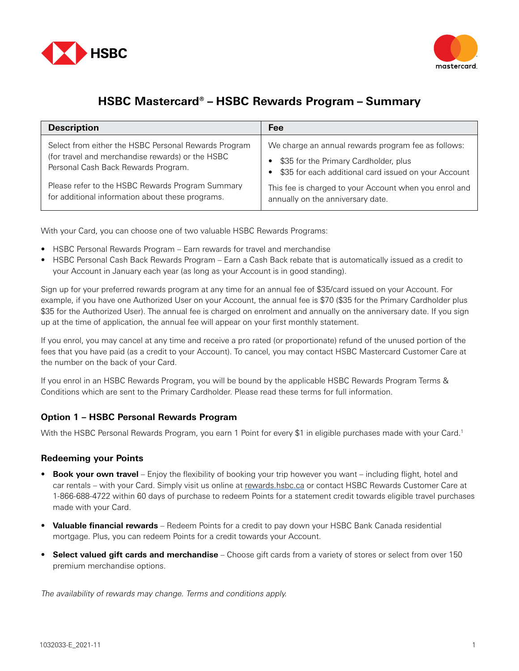



## **HSBC Mastercard® – HSBC Rewards Program – Summary**

| <b>Description</b>                                   | Fee                                                    |
|------------------------------------------------------|--------------------------------------------------------|
| Select from either the HSBC Personal Rewards Program | We charge an annual rewards program fee as follows:    |
| (for travel and merchandise rewards) or the HSBC     | \$35 for the Primary Cardholder, plus                  |
| Personal Cash Back Rewards Program.                  | \$35 for each additional card issued on your Account   |
| Please refer to the HSBC Rewards Program Summary     | This fee is charged to your Account when you enrol and |
| for additional information about these programs.     | annually on the anniversary date.                      |

With your Card, you can choose one of two valuable HSBC Rewards Programs:

- HSBC Personal Rewards Program Earn rewards for travel and merchandise
- HSBC Personal Cash Back Rewards Program Earn a Cash Back rebate that is automatically issued as a credit to your Account in January each year (as long as your Account is in good standing).

Sign up for your preferred rewards program at any time for an annual fee of \$35/card issued on your Account. For example, if you have one Authorized User on your Account, the annual fee is \$70 (\$35 for the Primary Cardholder plus \$35 for the Authorized User). The annual fee is charged on enrolment and annually on the anniversary date. If you sign up at the time of application, the annual fee will appear on your first monthly statement.

If you enrol, you may cancel at any time and receive a pro rated (or proportionate) refund of the unused portion of the fees that you have paid (as a credit to your Account). To cancel, you may contact HSBC Mastercard Customer Care at the number on the back of your Card.

If you enrol in an HSBC Rewards Program, you will be bound by the applicable HSBC Rewards Program Terms & Conditions which are sent to the Primary Cardholder. Please read these terms for full information.

## **Option 1 – HSBC Personal Rewards Program**

With the HSBC Personal Rewards Program, you earn 1 Point for every \$1 in eligible purchases made with your Card.<sup>1</sup>

## **Redeeming your Points**

- **Book your own travel** Enjoy the flexibility of booking your trip however you want including flight, hotel and car rentals – with your Card. Simply visit us online at [rewards.hsbc.ca](http://rewards.hsbc.ca) or contact HSBC Rewards Customer Care at 1-866-688-4722 within 60 days of purchase to redeem Points for a statement credit towards eligible travel purchases made with your Card.
- **Valuable financial rewards** Redeem Points for a credit to pay down your HSBC Bank Canada residential mortgage. Plus, you can redeem Points for a credit towards your Account.
- **Select valued gift cards and merchandise** Choose gift cards from a variety of stores or select from over 150 premium merchandise options.

The availability of rewards may change. Terms and conditions apply.